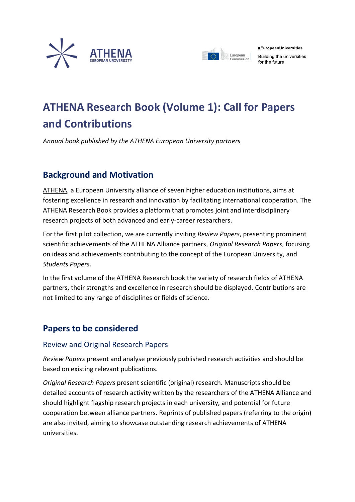



#EuropeanUniversities

Building the universities for the future

# **ATHENA Research Book (Volume 1): Call for Papers and Contributions**

*Annual book published by the ATHENA European University partners*

# **Background and Motivation**

[ATHENA,](https://athena-uni.eu/) a European University alliance of seven higher education institutions, aims at fostering excellence in research and innovation by facilitating international cooperation. The ATHENA Research Book provides a platform that promotes joint and interdisciplinary research projects of both advanced and early-career researchers.

For the first pilot collection, we are currently inviting *Review Papers*, presenting prominent scientific achievements of the ATHENA Alliance partners, *Original Research Papers*, focusing on ideas and achievements contributing to the concept of the European University, and *Students Papers*.

In the first volume of the ATHENA Research book the variety of research fields of ATHENA partners, their strengths and excellence in research should be displayed. Contributions are not limited to any range of disciplines or fields of science.

### **Papers to be considered**

#### Review and Original Research Papers

*Review Papers* present and analyse previously published research activities and should be based on existing relevant publications.

*Original Research Papers* present scientific (original) research. Manuscripts should be detailed accounts of research activity written by the researchers of the ATHENA Alliance and should highlight flagship research projects in each university, and potential for future cooperation between alliance partners. Reprints of published papers (referring to the origin) are also invited, aiming to showcase outstanding research achievements of ATHENA universities.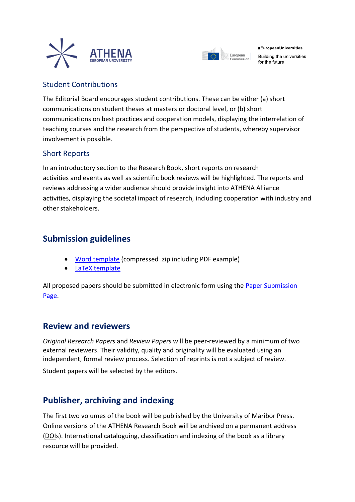



#EuropeanUniversities

Building the universities for the future

#### Student Contributions

The Editorial Board encourages student contributions. These can be either (a) short communications on student theses at masters or doctoral level, or (b) short communications on best practices and cooperation models, displaying the interrelation of teaching courses and the research from the perspective of students, whereby supervisor involvement is possible.

#### Short Reports

In an introductory section to the Research Book, short reports on research activities and events as well as scientific book reviews will be highlighted. The reports and reviews addressing a wider audience should provide insight into ATHENA Alliance activities, displaying the societal impact of research, including cooperation with industry and other stakeholders.

# **Submission guidelines**

- [Word template](https://athena-uni.eu/wp-content/uploads/2021/12/ATHENA-ARB-Template.zip) (compressed .zip including PDF example)
- [LaTeX template](https://www.overleaf.com/read/wtscvrmqbzbs)

All proposed papers should be submitted in electronic form using the [Paper Submission](https://easychair.org/conferences/?conf=athenaarbv1)  [Page.](https://easychair.org/conferences/?conf=athenaarbv1)

### **Review and reviewers**

*Original Research Papers* and *Review Papers* will be peer-reviewed by a minimum of two external reviewers. Their validity, quality and originality will be evaluated using an independent, formal review process. Selection of reprints is not a subject of review.

Student papers will be selected by the editors.

### **Publisher, archiving and indexing**

The first two volumes of the book will be published by the [University of Maribor Press.](https://press.um.si/index.php/ump/about) Online versions of the ATHENA Research Book will be archived on a permanent address [\(DOIs](https://www.doi.org/)). International cataloguing, classification and indexing of the book as a library resource will be provided.